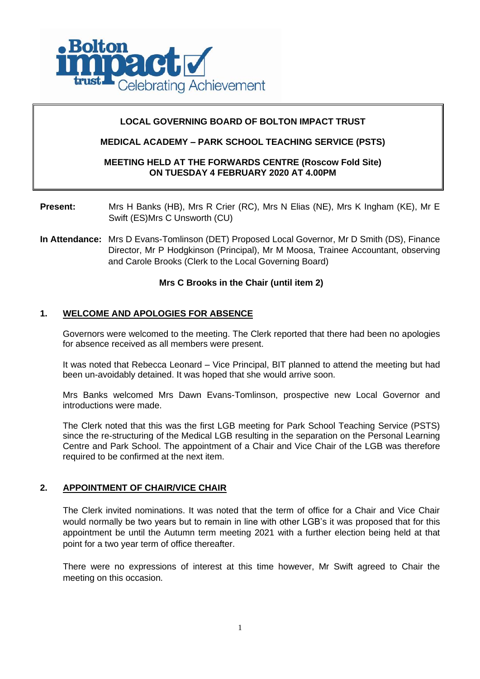

## **LOCAL GOVERNING BOARD OF BOLTON IMPACT TRUST**

## **MEDICAL ACADEMY – PARK SCHOOL TEACHING SERVICE (PSTS)**

### **MEETING HELD AT THE FORWARDS CENTRE (Roscow Fold Site) ON TUESDAY 4 FEBRUARY 2020 AT 4.00PM**

**Present:** Mrs H Banks (HB), Mrs R Crier (RC), Mrs N Elias (NE), Mrs K Ingham (KE), Mr E Swift (ES)Mrs C Unsworth (CU)

**In Attendance:** Mrs D Evans-Tomlinson (DET) Proposed Local Governor, Mr D Smith (DS), Finance Director, Mr P Hodgkinson (Principal), Mr M Moosa, Trainee Accountant, observing and Carole Brooks (Clerk to the Local Governing Board)

## **Mrs C Brooks in the Chair (until item 2)**

### **1. WELCOME AND APOLOGIES FOR ABSENCE**

Governors were welcomed to the meeting. The Clerk reported that there had been no apologies for absence received as all members were present.

It was noted that Rebecca Leonard – Vice Principal, BIT planned to attend the meeting but had been un-avoidably detained. It was hoped that she would arrive soon.

Mrs Banks welcomed Mrs Dawn Evans-Tomlinson, prospective new Local Governor and introductions were made.

The Clerk noted that this was the first LGB meeting for Park School Teaching Service (PSTS) since the re-structuring of the Medical LGB resulting in the separation on the Personal Learning Centre and Park School. The appointment of a Chair and Vice Chair of the LGB was therefore required to be confirmed at the next item.

## **2. APPOINTMENT OF CHAIR/VICE CHAIR**

The Clerk invited nominations. It was noted that the term of office for a Chair and Vice Chair would normally be two years but to remain in line with other LGB's it was proposed that for this appointment be until the Autumn term meeting 2021 with a further election being held at that point for a two year term of office thereafter.

There were no expressions of interest at this time however, Mr Swift agreed to Chair the meeting on this occasion.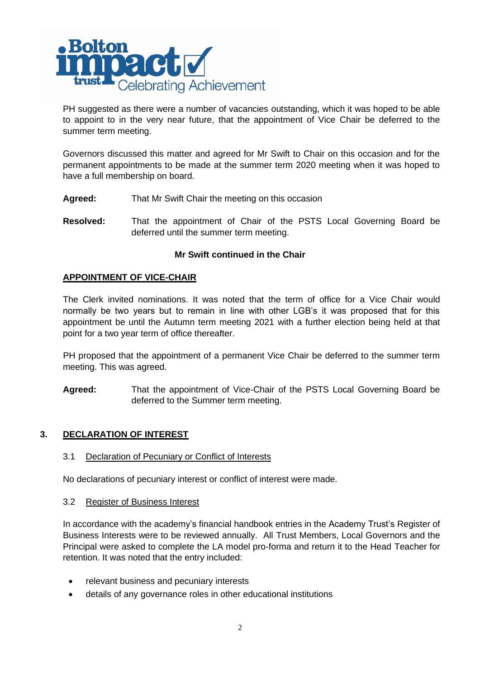

PH suggested as there were a number of vacancies outstanding, which it was hoped to be able to appoint to in the very near future, that the appointment of Vice Chair be deferred to the summer term meeting.

Governors discussed this matter and agreed for Mr Swift to Chair on this occasion and for the permanent appointments to be made at the summer term 2020 meeting when it was hoped to have a full membership on board.

- **Agreed:** That Mr Swift Chair the meeting on this occasion
- **Resolved:** That the appointment of Chair of the PSTS Local Governing Board be deferred until the summer term meeting.

### **Mr Swift continued in the Chair**

### **APPOINTMENT OF VICE-CHAIR**

The Clerk invited nominations. It was noted that the term of office for a Vice Chair would normally be two years but to remain in line with other LGB's it was proposed that for this appointment be until the Autumn term meeting 2021 with a further election being held at that point for a two year term of office thereafter.

PH proposed that the appointment of a permanent Vice Chair be deferred to the summer term meeting. This was agreed.

**Agreed:** That the appointment of Vice-Chair of the PSTS Local Governing Board be deferred to the Summer term meeting.

## **3. DECLARATION OF INTEREST**

3.1 Declaration of Pecuniary or Conflict of Interests

No declarations of pecuniary interest or conflict of interest were made.

### 3.2 Register of Business Interest

In accordance with the academy's financial handbook entries in the Academy Trust's Register of Business Interests were to be reviewed annually. All Trust Members, Local Governors and the Principal were asked to complete the LA model pro-forma and return it to the Head Teacher for retention. It was noted that the entry included:

- relevant business and pecuniary interests
- details of any governance roles in other educational institutions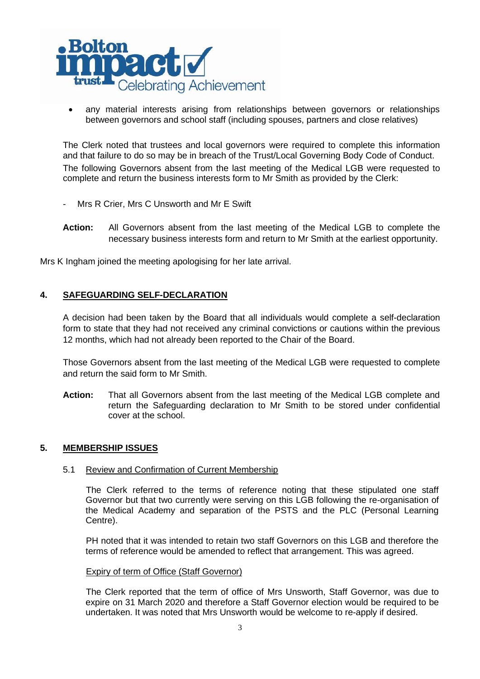

any material interests arising from relationships between governors or relationships between governors and school staff (including spouses, partners and close relatives)

The Clerk noted that trustees and local governors were required to complete this information and that failure to do so may be in breach of the Trust/Local Governing Body Code of Conduct. The following Governors absent from the last meeting of the Medical LGB were requested to complete and return the business interests form to Mr Smith as provided by the Clerk:

- Mrs R Crier, Mrs C Unsworth and Mr E Swift
- **Action:** All Governors absent from the last meeting of the Medical LGB to complete the necessary business interests form and return to Mr Smith at the earliest opportunity.

Mrs K Ingham joined the meeting apologising for her late arrival.

## **4. SAFEGUARDING SELF-DECLARATION**

A decision had been taken by the Board that all individuals would complete a self-declaration form to state that they had not received any criminal convictions or cautions within the previous 12 months, which had not already been reported to the Chair of the Board.

Those Governors absent from the last meeting of the Medical LGB were requested to complete and return the said form to Mr Smith.

**Action:** That all Governors absent from the last meeting of the Medical LGB complete and return the Safeguarding declaration to Mr Smith to be stored under confidential cover at the school.

## **5. MEMBERSHIP ISSUES**

### 5.1 Review and Confirmation of Current Membership

The Clerk referred to the terms of reference noting that these stipulated one staff Governor but that two currently were serving on this LGB following the re-organisation of the Medical Academy and separation of the PSTS and the PLC (Personal Learning Centre).

PH noted that it was intended to retain two staff Governors on this LGB and therefore the terms of reference would be amended to reflect that arrangement. This was agreed.

### Expiry of term of Office (Staff Governor)

The Clerk reported that the term of office of Mrs Unsworth, Staff Governor, was due to expire on 31 March 2020 and therefore a Staff Governor election would be required to be undertaken. It was noted that Mrs Unsworth would be welcome to re-apply if desired.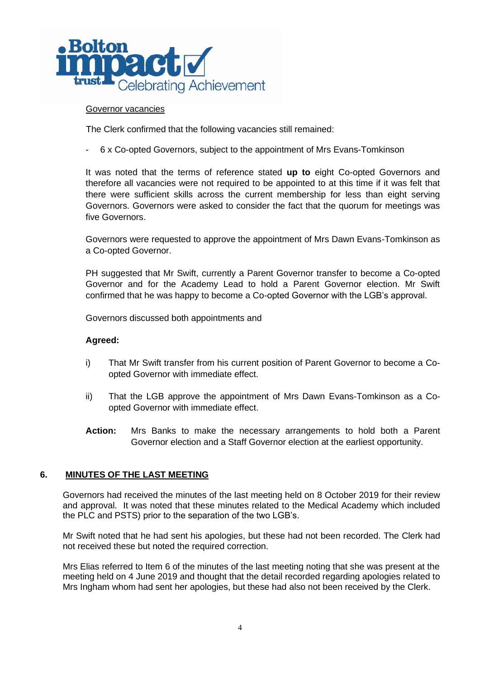

### Governor vacancies

The Clerk confirmed that the following vacancies still remained:

- 6 x Co-opted Governors, subject to the appointment of Mrs Evans-Tomkinson

It was noted that the terms of reference stated **up to** eight Co-opted Governors and therefore all vacancies were not required to be appointed to at this time if it was felt that there were sufficient skills across the current membership for less than eight serving Governors. Governors were asked to consider the fact that the quorum for meetings was five Governors.

Governors were requested to approve the appointment of Mrs Dawn Evans-Tomkinson as a Co-opted Governor.

PH suggested that Mr Swift, currently a Parent Governor transfer to become a Co-opted Governor and for the Academy Lead to hold a Parent Governor election. Mr Swift confirmed that he was happy to become a Co-opted Governor with the LGB's approval.

Governors discussed both appointments and

### **Agreed:**

- i) That Mr Swift transfer from his current position of Parent Governor to become a Coopted Governor with immediate effect.
- ii) That the LGB approve the appointment of Mrs Dawn Evans-Tomkinson as a Coopted Governor with immediate effect.
- **Action:** Mrs Banks to make the necessary arrangements to hold both a Parent Governor election and a Staff Governor election at the earliest opportunity.

### **6. MINUTES OF THE LAST MEETING**

Governors had received the minutes of the last meeting held on 8 October 2019 for their review and approval. It was noted that these minutes related to the Medical Academy which included the PLC and PSTS) prior to the separation of the two LGB's.

Mr Swift noted that he had sent his apologies, but these had not been recorded. The Clerk had not received these but noted the required correction.

Mrs Elias referred to Item 6 of the minutes of the last meeting noting that she was present at the meeting held on 4 June 2019 and thought that the detail recorded regarding apologies related to Mrs Ingham whom had sent her apologies, but these had also not been received by the Clerk.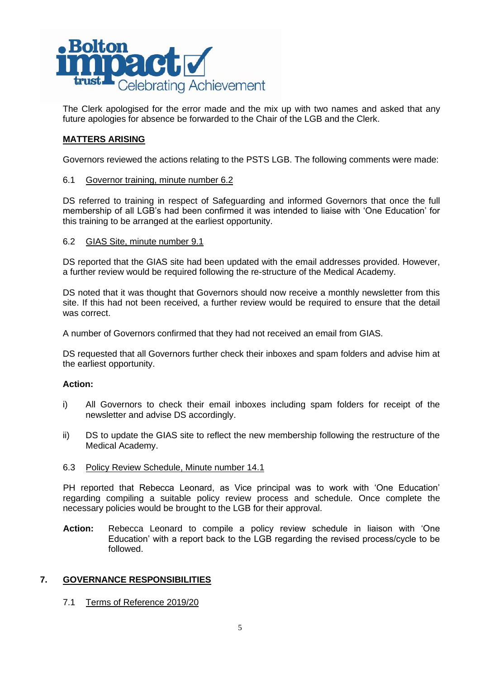

The Clerk apologised for the error made and the mix up with two names and asked that any future apologies for absence be forwarded to the Chair of the LGB and the Clerk.

## **MATTERS ARISING**

Governors reviewed the actions relating to the PSTS LGB. The following comments were made:

### 6.1 Governor training, minute number 6.2

DS referred to training in respect of Safeguarding and informed Governors that once the full membership of all LGB's had been confirmed it was intended to liaise with 'One Education' for this training to be arranged at the earliest opportunity.

### 6.2 GIAS Site, minute number 9.1

DS reported that the GIAS site had been updated with the email addresses provided. However, a further review would be required following the re-structure of the Medical Academy.

DS noted that it was thought that Governors should now receive a monthly newsletter from this site. If this had not been received, a further review would be required to ensure that the detail was correct.

A number of Governors confirmed that they had not received an email from GIAS.

DS requested that all Governors further check their inboxes and spam folders and advise him at the earliest opportunity.

## **Action:**

- i) All Governors to check their email inboxes including spam folders for receipt of the newsletter and advise DS accordingly.
- ii) DS to update the GIAS site to reflect the new membership following the restructure of the Medical Academy.

### 6.3 Policy Review Schedule, Minute number 14.1

PH reported that Rebecca Leonard, as Vice principal was to work with 'One Education' regarding compiling a suitable policy review process and schedule. Once complete the necessary policies would be brought to the LGB for their approval.

**Action:** Rebecca Leonard to compile a policy review schedule in liaison with 'One Education' with a report back to the LGB regarding the revised process/cycle to be followed.

## **7. GOVERNANCE RESPONSIBILITIES**

## 7.1 Terms of Reference 2019/20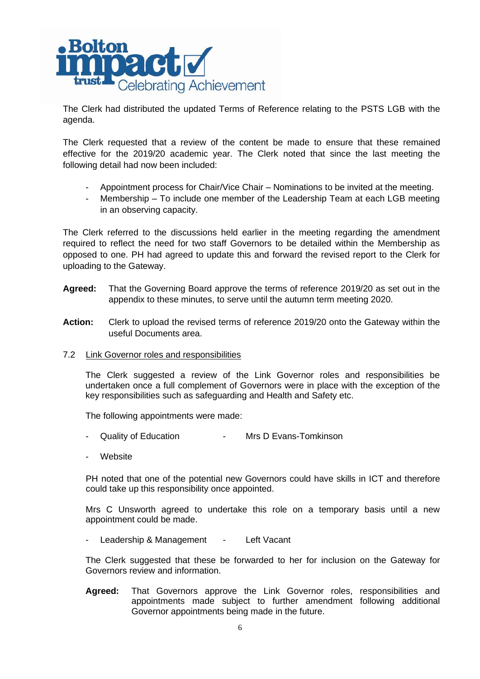

The Clerk had distributed the updated Terms of Reference relating to the PSTS LGB with the agenda.

The Clerk requested that a review of the content be made to ensure that these remained effective for the 2019/20 academic year. The Clerk noted that since the last meeting the following detail had now been included:

- Appointment process for Chair/Vice Chair Nominations to be invited at the meeting.
- Membership To include one member of the Leadership Team at each LGB meeting in an observing capacity.

The Clerk referred to the discussions held earlier in the meeting regarding the amendment required to reflect the need for two staff Governors to be detailed within the Membership as opposed to one. PH had agreed to update this and forward the revised report to the Clerk for uploading to the Gateway.

- **Agreed:** That the Governing Board approve the terms of reference 2019/20 as set out in the appendix to these minutes, to serve until the autumn term meeting 2020.
- **Action:** Clerk to upload the revised terms of reference 2019/20 onto the Gateway within the useful Documents area.
- 7.2 Link Governor roles and responsibilities

The Clerk suggested a review of the Link Governor roles and responsibilities be undertaken once a full complement of Governors were in place with the exception of the key responsibilities such as safeguarding and Health and Safety etc.

The following appointments were made:

- Quality of Education  **Mrs D Evans-Tomkinson**
- **Website**

PH noted that one of the potential new Governors could have skills in ICT and therefore could take up this responsibility once appointed.

Mrs C Unsworth agreed to undertake this role on a temporary basis until a new appointment could be made.

- Leadership & Management - Left Vacant

The Clerk suggested that these be forwarded to her for inclusion on the Gateway for Governors review and information.

**Agreed:** That Governors approve the Link Governor roles, responsibilities and appointments made subject to further amendment following additional Governor appointments being made in the future.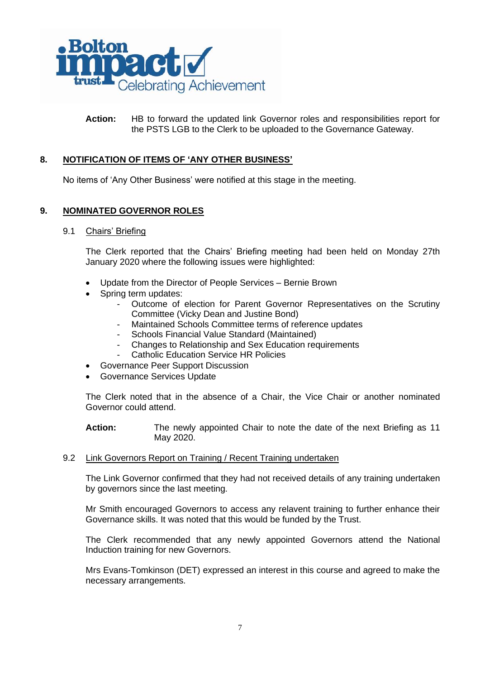

**Action:** HB to forward the updated link Governor roles and responsibilities report for the PSTS LGB to the Clerk to be uploaded to the Governance Gateway.

## **8. NOTIFICATION OF ITEMS OF 'ANY OTHER BUSINESS'**

No items of 'Any Other Business' were notified at this stage in the meeting.

## **9. NOMINATED GOVERNOR ROLES**

9.1 Chairs' Briefing

The Clerk reported that the Chairs' Briefing meeting had been held on Monday 27th January 2020 where the following issues were highlighted:

- Update from the Director of People Services Bernie Brown
- Spring term updates:
	- Outcome of election for Parent Governor Representatives on the Scrutiny Committee (Vicky Dean and Justine Bond)
	- Maintained Schools Committee terms of reference updates
	- Schools Financial Value Standard (Maintained)
	- Changes to Relationship and Sex Education requirements
	- Catholic Education Service HR Policies
- Governance Peer Support Discussion
- Governance Services Update

The Clerk noted that in the absence of a Chair, the Vice Chair or another nominated Governor could attend.

**Action:** The newly appointed Chair to note the date of the next Briefing as 11 May 2020.

### 9.2 Link Governors Report on Training / Recent Training undertaken

The Link Governor confirmed that they had not received details of any training undertaken by governors since the last meeting.

Mr Smith encouraged Governors to access any relavent training to further enhance their Governance skills. It was noted that this would be funded by the Trust.

The Clerk recommended that any newly appointed Governors attend the National Induction training for new Governors.

Mrs Evans-Tomkinson (DET) expressed an interest in this course and agreed to make the necessary arrangements.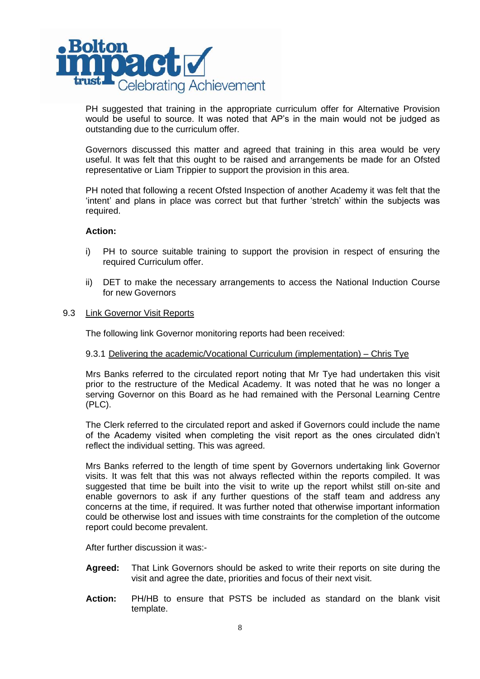

PH suggested that training in the appropriate curriculum offer for Alternative Provision would be useful to source. It was noted that AP's in the main would not be judged as outstanding due to the curriculum offer.

Governors discussed this matter and agreed that training in this area would be very useful. It was felt that this ought to be raised and arrangements be made for an Ofsted representative or Liam Trippier to support the provision in this area.

PH noted that following a recent Ofsted Inspection of another Academy it was felt that the 'intent' and plans in place was correct but that further 'stretch' within the subjects was required.

### **Action:**

- i) PH to source suitable training to support the provision in respect of ensuring the required Curriculum offer.
- ii) DET to make the necessary arrangements to access the National Induction Course for new Governors
- 9.3 Link Governor Visit Reports

The following link Governor monitoring reports had been received:

### 9.3.1 Delivering the academic/Vocational Curriculum (implementation) – Chris Tye

Mrs Banks referred to the circulated report noting that Mr Tye had undertaken this visit prior to the restructure of the Medical Academy. It was noted that he was no longer a serving Governor on this Board as he had remained with the Personal Learning Centre (PLC).

The Clerk referred to the circulated report and asked if Governors could include the name of the Academy visited when completing the visit report as the ones circulated didn't reflect the individual setting. This was agreed.

Mrs Banks referred to the length of time spent by Governors undertaking link Governor visits. It was felt that this was not always reflected within the reports compiled. It was suggested that time be built into the visit to write up the report whilst still on-site and enable governors to ask if any further questions of the staff team and address any concerns at the time, if required. It was further noted that otherwise important information could be otherwise lost and issues with time constraints for the completion of the outcome report could become prevalent.

After further discussion it was:-

- **Agreed:** That Link Governors should be asked to write their reports on site during the visit and agree the date, priorities and focus of their next visit.
- **Action:** PH/HB to ensure that PSTS be included as standard on the blank visit template.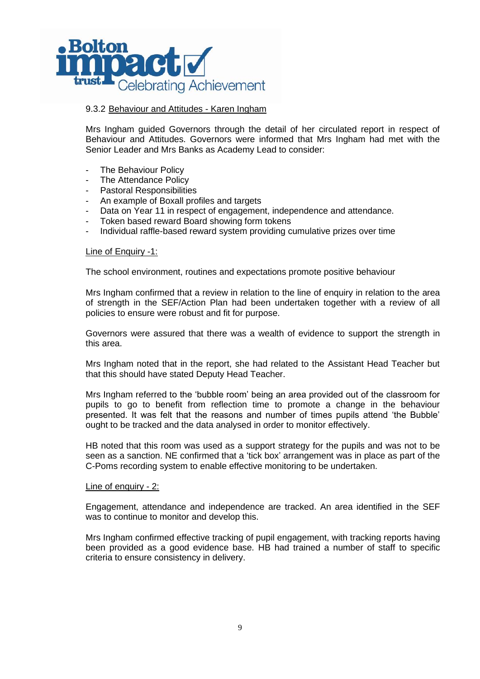

## 9.3.2 Behaviour and Attitudes - Karen Ingham

Mrs Ingham guided Governors through the detail of her circulated report in respect of Behaviour and Attitudes. Governors were informed that Mrs Ingham had met with the Senior Leader and Mrs Banks as Academy Lead to consider:

- The Behaviour Policy
- The Attendance Policy
- Pastoral Responsibilities
- An example of Boxall profiles and targets
- Data on Year 11 in respect of engagement, independence and attendance.
- Token based reward Board showing form tokens
- Individual raffle-based reward system providing cumulative prizes over time

#### Line of Enquiry -1:

The school environment, routines and expectations promote positive behaviour

Mrs Ingham confirmed that a review in relation to the line of enquiry in relation to the area of strength in the SEF/Action Plan had been undertaken together with a review of all policies to ensure were robust and fit for purpose.

Governors were assured that there was a wealth of evidence to support the strength in this area.

Mrs Ingham noted that in the report, she had related to the Assistant Head Teacher but that this should have stated Deputy Head Teacher.

Mrs Ingham referred to the 'bubble room' being an area provided out of the classroom for pupils to go to benefit from reflection time to promote a change in the behaviour presented. It was felt that the reasons and number of times pupils attend 'the Bubble' ought to be tracked and the data analysed in order to monitor effectively.

HB noted that this room was used as a support strategy for the pupils and was not to be seen as a sanction. NE confirmed that a 'tick box' arrangement was in place as part of the C-Poms recording system to enable effective monitoring to be undertaken.

### Line of enquiry - 2:

Engagement, attendance and independence are tracked. An area identified in the SEF was to continue to monitor and develop this.

Mrs Ingham confirmed effective tracking of pupil engagement, with tracking reports having been provided as a good evidence base. HB had trained a number of staff to specific criteria to ensure consistency in delivery.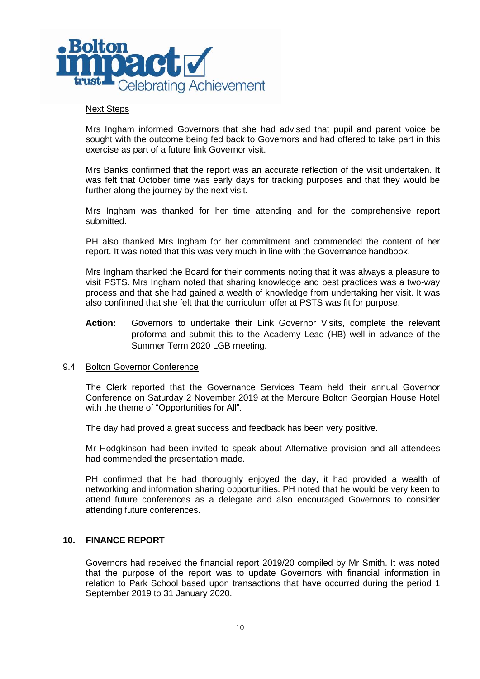

#### Next Steps

Mrs Ingham informed Governors that she had advised that pupil and parent voice be sought with the outcome being fed back to Governors and had offered to take part in this exercise as part of a future link Governor visit.

Mrs Banks confirmed that the report was an accurate reflection of the visit undertaken. It was felt that October time was early days for tracking purposes and that they would be further along the journey by the next visit.

Mrs Ingham was thanked for her time attending and for the comprehensive report submitted.

PH also thanked Mrs Ingham for her commitment and commended the content of her report. It was noted that this was very much in line with the Governance handbook.

Mrs Ingham thanked the Board for their comments noting that it was always a pleasure to visit PSTS. Mrs Ingham noted that sharing knowledge and best practices was a two-way process and that she had gained a wealth of knowledge from undertaking her visit. It was also confirmed that she felt that the curriculum offer at PSTS was fit for purpose.

**Action:** Governors to undertake their Link Governor Visits, complete the relevant proforma and submit this to the Academy Lead (HB) well in advance of the Summer Term 2020 LGB meeting.

#### 9.4 Bolton Governor Conference

The Clerk reported that the Governance Services Team held their annual Governor Conference on Saturday 2 November 2019 at the Mercure Bolton Georgian House Hotel with the theme of "Opportunities for All".

The day had proved a great success and feedback has been very positive.

Mr Hodgkinson had been invited to speak about Alternative provision and all attendees had commended the presentation made.

PH confirmed that he had thoroughly enjoyed the day, it had provided a wealth of networking and information sharing opportunities. PH noted that he would be very keen to attend future conferences as a delegate and also encouraged Governors to consider attending future conferences.

### **10. FINANCE REPORT**

Governors had received the financial report 2019/20 compiled by Mr Smith. It was noted that the purpose of the report was to update Governors with financial information in relation to Park School based upon transactions that have occurred during the period 1 September 2019 to 31 January 2020.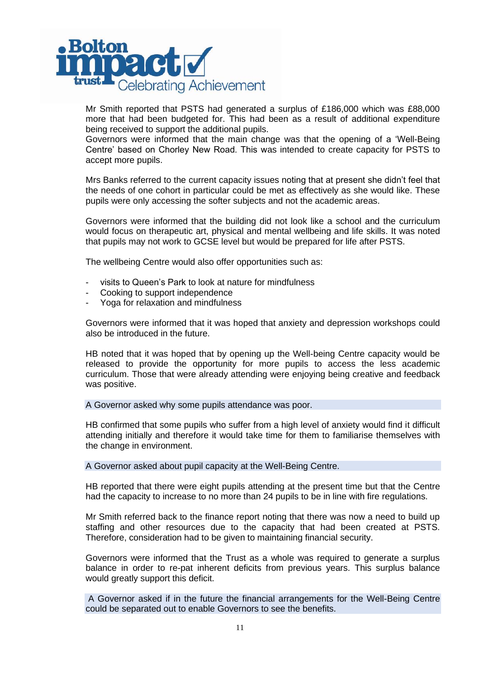

Mr Smith reported that PSTS had generated a surplus of £186,000 which was £88,000 more that had been budgeted for. This had been as a result of additional expenditure being received to support the additional pupils.

Governors were informed that the main change was that the opening of a 'Well-Being Centre' based on Chorley New Road. This was intended to create capacity for PSTS to accept more pupils.

Mrs Banks referred to the current capacity issues noting that at present she didn't feel that the needs of one cohort in particular could be met as effectively as she would like. These pupils were only accessing the softer subjects and not the academic areas.

Governors were informed that the building did not look like a school and the curriculum would focus on therapeutic art, physical and mental wellbeing and life skills. It was noted that pupils may not work to GCSE level but would be prepared for life after PSTS.

The wellbeing Centre would also offer opportunities such as:

- visits to Queen's Park to look at nature for mindfulness
- Cooking to support independence
- Yoga for relaxation and mindfulness

Governors were informed that it was hoped that anxiety and depression workshops could also be introduced in the future.

HB noted that it was hoped that by opening up the Well-being Centre capacity would be released to provide the opportunity for more pupils to access the less academic curriculum. Those that were already attending were enjoying being creative and feedback was positive.

A Governor asked why some pupils attendance was poor.

HB confirmed that some pupils who suffer from a high level of anxiety would find it difficult attending initially and therefore it would take time for them to familiarise themselves with the change in environment.

A Governor asked about pupil capacity at the Well-Being Centre.

HB reported that there were eight pupils attending at the present time but that the Centre had the capacity to increase to no more than 24 pupils to be in line with fire regulations.

Mr Smith referred back to the finance report noting that there was now a need to build up staffing and other resources due to the capacity that had been created at PSTS. Therefore, consideration had to be given to maintaining financial security.

Governors were informed that the Trust as a whole was required to generate a surplus balance in order to re-pat inherent deficits from previous years. This surplus balance would greatly support this deficit.

A Governor asked if in the future the financial arrangements for the Well-Being Centre could be separated out to enable Governors to see the benefits.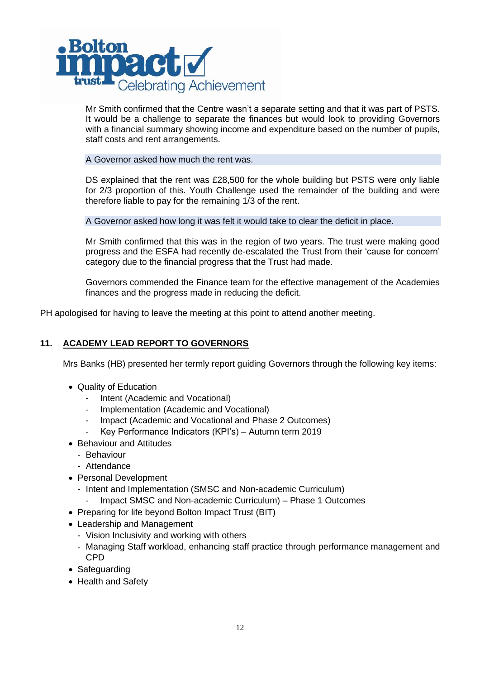

Mr Smith confirmed that the Centre wasn't a separate setting and that it was part of PSTS. It would be a challenge to separate the finances but would look to providing Governors with a financial summary showing income and expenditure based on the number of pupils, staff costs and rent arrangements.

### A Governor asked how much the rent was.

DS explained that the rent was £28,500 for the whole building but PSTS were only liable for 2/3 proportion of this. Youth Challenge used the remainder of the building and were therefore liable to pay for the remaining 1/3 of the rent.

A Governor asked how long it was felt it would take to clear the deficit in place.

Mr Smith confirmed that this was in the region of two years. The trust were making good progress and the ESFA had recently de-escalated the Trust from their 'cause for concern' category due to the financial progress that the Trust had made.

Governors commended the Finance team for the effective management of the Academies finances and the progress made in reducing the deficit.

PH apologised for having to leave the meeting at this point to attend another meeting.

# **11. ACADEMY LEAD REPORT TO GOVERNORS**

Mrs Banks (HB) presented her termly report guiding Governors through the following key items:

- Quality of Education
	- Intent (Academic and Vocational)
	- Implementation (Academic and Vocational)
	- Impact (Academic and Vocational and Phase 2 Outcomes)
	- Key Performance Indicators (KPI's) Autumn term 2019
- Behaviour and Attitudes
	- Behaviour
	- Attendance
- Personal Development
	- Intent and Implementation (SMSC and Non-academic Curriculum)
		- Impact SMSC and Non-academic Curriculum) Phase 1 Outcomes
- Preparing for life beyond Bolton Impact Trust (BIT)
- Leadership and Management
	- Vision Inclusivity and working with others
	- Managing Staff workload, enhancing staff practice through performance management and CPD
- Safeguarding
- Health and Safety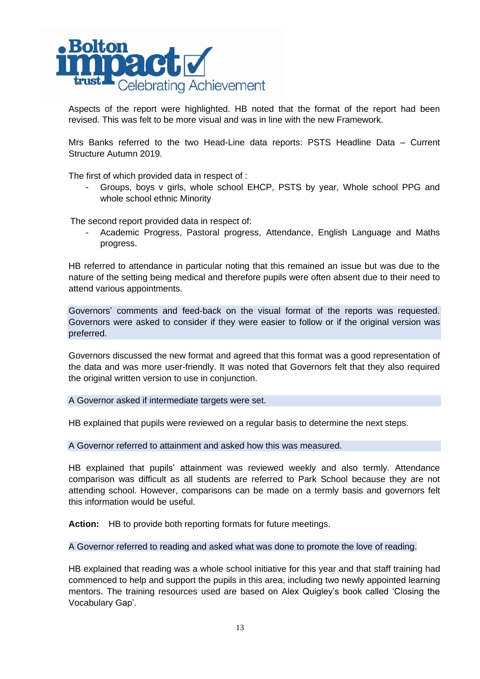

Aspects of the report were highlighted. HB noted that the format of the report had been revised. This was felt to be more visual and was in line with the new Framework.

Mrs Banks referred to the two Head-Line data reports: PSTS Headline Data – Current Structure Autumn 2019.

The first of which provided data in respect of :

Groups, boys v girls, whole school EHCP, PSTS by year, Whole school PPG and whole school ethnic Minority

The second report provided data in respect of:

Academic Progress, Pastoral progress, Attendance, English Language and Maths progress.

HB referred to attendance in particular noting that this remained an issue but was due to the nature of the setting being medical and therefore pupils were often absent due to their need to attend various appointments.

Governors' comments and feed-back on the visual format of the reports was requested. Governors were asked to consider if they were easier to follow or if the original version was preferred.

Governors discussed the new format and agreed that this format was a good representation of the data and was more user-friendly. It was noted that Governors felt that they also required the original written version to use in conjunction.

A Governor asked if intermediate targets were set.

HB explained that pupils were reviewed on a regular basis to determine the next steps.

A Governor referred to attainment and asked how this was measured.

HB explained that pupils' attainment was reviewed weekly and also termly. Attendance comparison was difficult as all students are referred to Park School because they are not attending school. However, comparisons can be made on a termly basis and governors felt this information would be useful.

**Action:** HB to provide both reporting formats for future meetings.

A Governor referred to reading and asked what was done to promote the love of reading.

HB explained that reading was a whole school initiative for this year and that staff training had commenced to help and support the pupils in this area, including two newly appointed learning mentors. The training resources used are based on Alex Quigley's book called 'Closing the Vocabulary Gap'.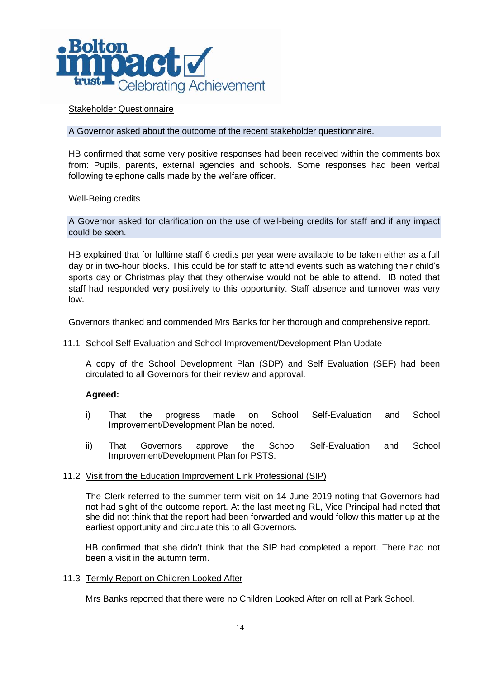

## Stakeholder Questionnaire

A Governor asked about the outcome of the recent stakeholder questionnaire.

HB confirmed that some very positive responses had been received within the comments box from: Pupils, parents, external agencies and schools. Some responses had been verbal following telephone calls made by the welfare officer.

### Well-Being credits

A Governor asked for clarification on the use of well-being credits for staff and if any impact could be seen.

HB explained that for fulltime staff 6 credits per year were available to be taken either as a full day or in two-hour blocks. This could be for staff to attend events such as watching their child's sports day or Christmas play that they otherwise would not be able to attend. HB noted that staff had responded very positively to this opportunity. Staff absence and turnover was very low.

Governors thanked and commended Mrs Banks for her thorough and comprehensive report.

### 11.1 School Self-Evaluation and School Improvement/Development Plan Update

A copy of the School Development Plan (SDP) and Self Evaluation (SEF) had been circulated to all Governors for their review and approval.

## **Agreed:**

- i) That the progress made on School Self-Evaluation and School Improvement/Development Plan be noted.
- ii) That Governors approve the School Self-Evaluation and School Improvement/Development Plan for PSTS.

### 11.2 Visit from the Education Improvement Link Professional (SIP)

The Clerk referred to the summer term visit on 14 June 2019 noting that Governors had not had sight of the outcome report. At the last meeting RL, Vice Principal had noted that she did not think that the report had been forwarded and would follow this matter up at the earliest opportunity and circulate this to all Governors.

HB confirmed that she didn't think that the SIP had completed a report. There had not been a visit in the autumn term.

### 11.3 Termly Report on Children Looked After

Mrs Banks reported that there were no Children Looked After on roll at Park School.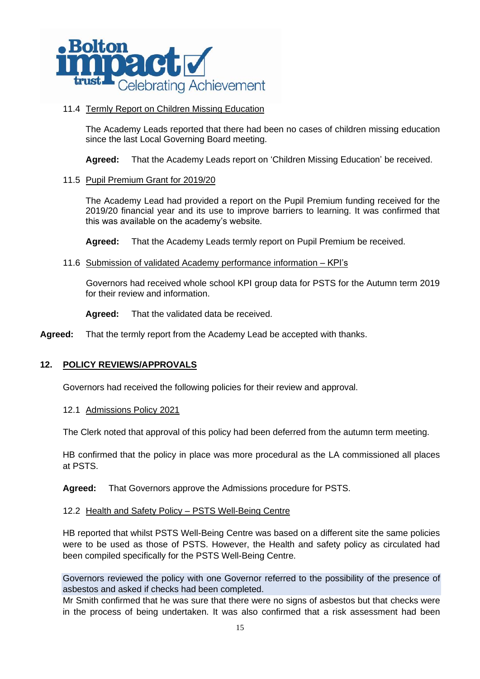

## 11.4 Termly Report on Children Missing Education

The Academy Leads reported that there had been no cases of children missing education since the last Local Governing Board meeting.

**Agreed:** That the Academy Leads report on 'Children Missing Education' be received.

### 11.5 Pupil Premium Grant for 2019/20

The Academy Lead had provided a report on the Pupil Premium funding received for the 2019/20 financial year and its use to improve barriers to learning. It was confirmed that this was available on the academy's website.

**Agreed:** That the Academy Leads termly report on Pupil Premium be received.

11.6 Submission of validated Academy performance information – KPI's

Governors had received whole school KPI group data for PSTS for the Autumn term 2019 for their review and information.

**Agreed:** That the validated data be received.

**Agreed:** That the termly report from the Academy Lead be accepted with thanks.

## **12. POLICY REVIEWS/APPROVALS**

Governors had received the following policies for their review and approval.

12.1 Admissions Policy 2021

The Clerk noted that approval of this policy had been deferred from the autumn term meeting.

HB confirmed that the policy in place was more procedural as the LA commissioned all places at PSTS.

**Agreed:** That Governors approve the Admissions procedure for PSTS.

### 12.2 Health and Safety Policy – PSTS Well-Being Centre

HB reported that whilst PSTS Well-Being Centre was based on a different site the same policies were to be used as those of PSTS. However, the Health and safety policy as circulated had been compiled specifically for the PSTS Well-Being Centre.

Governors reviewed the policy with one Governor referred to the possibility of the presence of asbestos and asked if checks had been completed.

Mr Smith confirmed that he was sure that there were no signs of asbestos but that checks were in the process of being undertaken. It was also confirmed that a risk assessment had been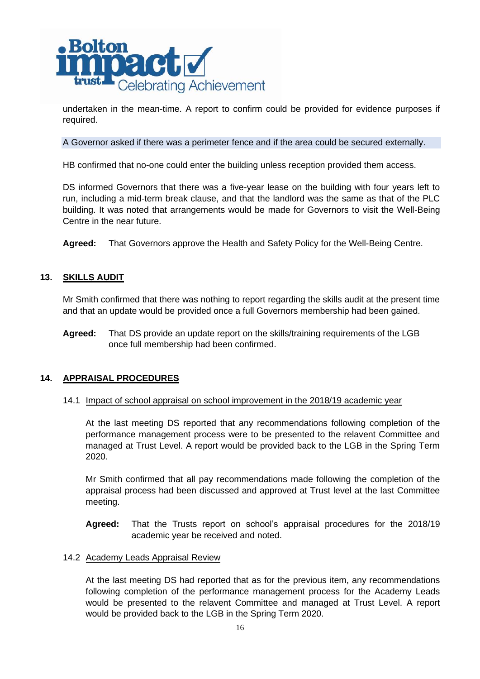

undertaken in the mean-time. A report to confirm could be provided for evidence purposes if required.

A Governor asked if there was a perimeter fence and if the area could be secured externally.

HB confirmed that no-one could enter the building unless reception provided them access.

DS informed Governors that there was a five-year lease on the building with four years left to run, including a mid-term break clause, and that the landlord was the same as that of the PLC building. It was noted that arrangements would be made for Governors to visit the Well-Being Centre in the near future.

**Agreed:** That Governors approve the Health and Safety Policy for the Well-Being Centre.

### **13. SKILLS AUDIT**

Mr Smith confirmed that there was nothing to report regarding the skills audit at the present time and that an update would be provided once a full Governors membership had been gained.

**Agreed:** That DS provide an update report on the skills/training requirements of the LGB once full membership had been confirmed.

### **14. APPRAISAL PROCEDURES**

### 14.1 Impact of school appraisal on school improvement in the 2018/19 academic year

At the last meeting DS reported that any recommendations following completion of the performance management process were to be presented to the relavent Committee and managed at Trust Level. A report would be provided back to the LGB in the Spring Term 2020.

Mr Smith confirmed that all pay recommendations made following the completion of the appraisal process had been discussed and approved at Trust level at the last Committee meeting.

**Agreed:** That the Trusts report on school's appraisal procedures for the 2018/19 academic year be received and noted.

### 14.2 Academy Leads Appraisal Review

At the last meeting DS had reported that as for the previous item, any recommendations following completion of the performance management process for the Academy Leads would be presented to the relavent Committee and managed at Trust Level. A report would be provided back to the LGB in the Spring Term 2020.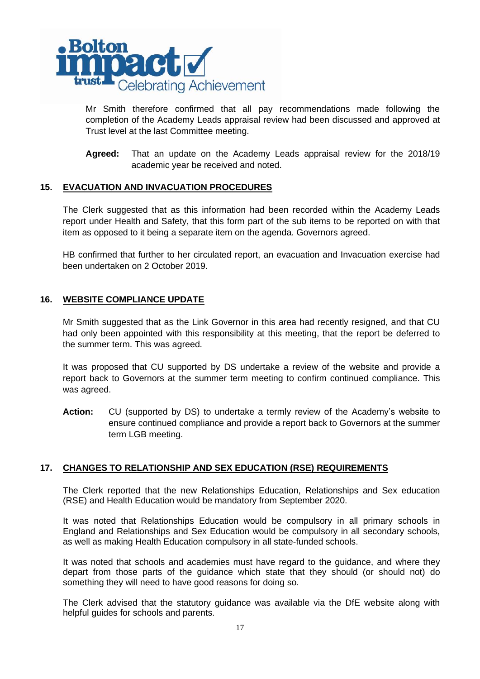

Mr Smith therefore confirmed that all pay recommendations made following the completion of the Academy Leads appraisal review had been discussed and approved at Trust level at the last Committee meeting.

**Agreed:** That an update on the Academy Leads appraisal review for the 2018/19 academic year be received and noted.

## **15. EVACUATION AND INVACUATION PROCEDURES**

The Clerk suggested that as this information had been recorded within the Academy Leads report under Health and Safety, that this form part of the sub items to be reported on with that item as opposed to it being a separate item on the agenda. Governors agreed.

HB confirmed that further to her circulated report, an evacuation and Invacuation exercise had been undertaken on 2 October 2019.

### **16. WEBSITE COMPLIANCE UPDATE**

Mr Smith suggested that as the Link Governor in this area had recently resigned, and that CU had only been appointed with this responsibility at this meeting, that the report be deferred to the summer term. This was agreed.

It was proposed that CU supported by DS undertake a review of the website and provide a report back to Governors at the summer term meeting to confirm continued compliance. This was agreed.

**Action:** CU (supported by DS) to undertake a termly review of the Academy's website to ensure continued compliance and provide a report back to Governors at the summer term LGB meeting.

## **17. CHANGES TO RELATIONSHIP AND SEX EDUCATION (RSE) REQUIREMENTS**

The Clerk reported that the new Relationships Education, Relationships and Sex education (RSE) and Health Education would be mandatory from September 2020.

It was noted that Relationships Education would be compulsory in all primary schools in England and Relationships and Sex Education would be compulsory in all secondary schools, as well as making Health Education compulsory in all state-funded schools.

It was noted that schools and academies must have regard to the guidance, and where they depart from those parts of the guidance which state that they should (or should not) do something they will need to have good reasons for doing so.

The Clerk advised that the statutory guidance was available via the DfE website along with helpful guides for schools and parents.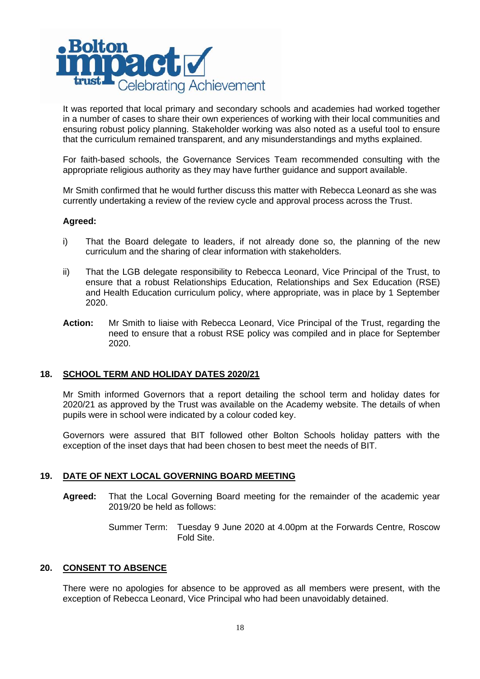

It was reported that local primary and secondary schools and academies had worked together in a number of cases to share their own experiences of working with their local communities and ensuring robust policy planning. Stakeholder working was also noted as a useful tool to ensure that the curriculum remained transparent, and any misunderstandings and myths explained.

For faith-based schools, the Governance Services Team recommended consulting with the appropriate religious authority as they may have further guidance and support available.

Mr Smith confirmed that he would further discuss this matter with Rebecca Leonard as she was currently undertaking a review of the review cycle and approval process across the Trust.

### **Agreed:**

- i) That the Board delegate to leaders, if not already done so, the planning of the new curriculum and the sharing of clear information with stakeholders.
- ii) That the LGB delegate responsibility to Rebecca Leonard, Vice Principal of the Trust, to ensure that a robust Relationships Education, Relationships and Sex Education (RSE) and Health Education curriculum policy, where appropriate, was in place by 1 September 2020.
- **Action:** Mr Smith to liaise with Rebecca Leonard, Vice Principal of the Trust, regarding the need to ensure that a robust RSE policy was compiled and in place for September 2020.

## **18. SCHOOL TERM AND HOLIDAY DATES 2020/21**

Mr Smith informed Governors that a report detailing the school term and holiday dates for 2020/21 as approved by the Trust was available on the Academy website. The details of when pupils were in school were indicated by a colour coded key.

Governors were assured that BIT followed other Bolton Schools holiday patters with the exception of the inset days that had been chosen to best meet the needs of BIT.

## **19. DATE OF NEXT LOCAL GOVERNING BOARD MEETING**

- **Agreed:** That the Local Governing Board meeting for the remainder of the academic year 2019/20 be held as follows:
	- Summer Term: Tuesday 9 June 2020 at 4.00pm at the Forwards Centre, Roscow Fold Site.

### **20. CONSENT TO ABSENCE**

There were no apologies for absence to be approved as all members were present, with the exception of Rebecca Leonard, Vice Principal who had been unavoidably detained.